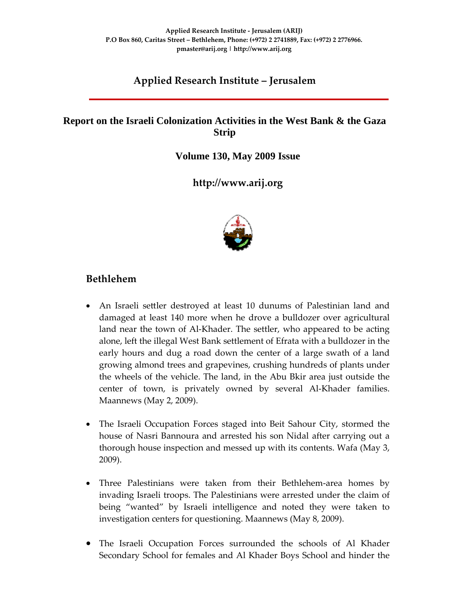# **Applied Research Institute – Jerusalem**

### **Report on the Israeli Colonization Activities in the West Bank & the Gaza Strip**

**Volume 130, May 2009 Issue** 

**http://www.arij.org**



### **Bethlehem**

- An Israeli settler destroyed at least 10 dunums of Palestinian land and damaged at least 140 more when he drove a bulldozer over agricultural land near the town of Al-Khader. The settler, who appeared to be acting alone, left the illegal West Bank settlement of Efrata with a bulldozer in the early hours and dug a road down the center of a large swath of a land growing almond trees and grapevines, crushing hundreds of plants under the wheels of the vehicle. The land, in the Abu Bkir area just outside the center of town, is privately owned by several Al‐Khader families. Maannews (May 2, 2009).
- The Israeli Occupation Forces staged into Beit Sahour City, stormed the house of Nasri Bannoura and arrested his son Nidal after carrying out a thorough house inspection and messed up with its contents. Wafa (May 3, 2009).
- Three Palestinians were taken from their Bethlehem-area homes by invading Israeli troops. The Palestinians were arrested under the claim of being "wanted" by Israeli intelligence and noted they were taken to investigation centers for questioning. Maannews (May 8, 2009).
- The Israeli Occupation Forces surrounded the schools of Al Khader Secondary School for females and Al Khader Boys School and hinder the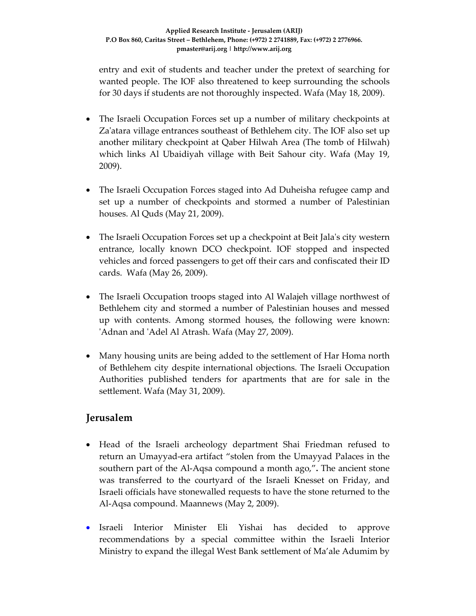entry and exit of students and teacher under the pretext of searching for wanted people. The IOF also threatened to keep surrounding the schools for 30 days if students are not thoroughly inspected. Wafa (May 18, 2009).

- The Israeli Occupation Forces set up a number of military checkpoints at Za'atara village entrances southeast of Bethlehem city. The IOF also set up another military checkpoint at Qaber Hilwah Area (The tomb of Hilwah) which links Al Ubaidiyah village with Beit Sahour city. Wafa (May 19, 2009).
- The Israeli Occupation Forces staged into Ad Duheisha refugee camp and set up a number of checkpoints and stormed a number of Palestinian houses. Al Quds (May 21, 2009).
- The Israeli Occupation Forces set up a checkpoint at Beit Jala's city western entrance, locally known DCO checkpoint. IOF stopped and inspected vehicles and forced passengers to get off their cars and confiscated their ID cards. Wafa (May 26, 2009).
- The Israeli Occupation troops staged into Al Walajeh village northwest of Bethlehem city and stormed a number of Palestinian houses and messed up with contents. Among stormed houses, the following were known: ʹAdnan and ʹAdel Al Atrash. Wafa (May 27, 2009).
- Many housing units are being added to the settlement of Har Homa north of Bethlehem city despite international objections. The Israeli Occupation Authorities published tenders for apartments that are for sale in the settlement. Wafa (May 31, 2009).

### **Jerusalem**

- Head of the Israeli archeology department Shai Friedman refused to return an Umayyad‐era artifact "stolen from the Umayyad Palaces in the southern part of the Al‐Aqsa compound a month ago,"**.** The ancient stone was transferred to the courtyard of the Israeli Knesset on Friday, and Israeli officials have stonewalled requests to have the stone returned to the Al‐Aqsa compound. Maannews (May 2, 2009).
- Israeli Interior Minister Eli Yishai has decided to approve recommendations by a special committee within the Israeli Interior Ministry to expand the illegal West Bank settlement of Ma'ale Adumim by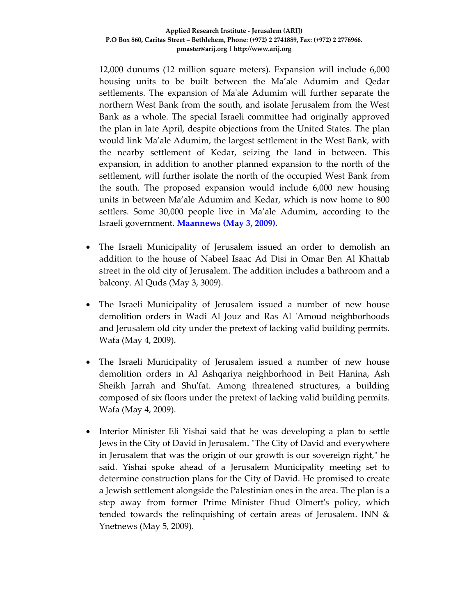12,000 dunums (12 million square meters). Expansion will include 6,000 housing units to be built between the Ma'ale Adumim and Qedar settlements. The expansion of Maʹale Adumim will further separate the northern West Bank from the south, and isolate Jerusalem from the West Bank as a whole. The special Israeli committee had originally approved the plan in late April, despite objections from the United States. The plan would link Ma'ale Adumim, the largest settlement in the West Bank, with the nearby settlement of Kedar, seizing the land in between. This expansion, in addition to another planned expansion to the north of the settlement, will further isolate the north of the occupied West Bank from the south. The proposed expansion would include 6,000 new housing units in between Ma'ale Adumim and Kedar, which is now home to 800 settlers. Some 30,000 people live in Ma'ale Adumim, according to the Israeli government. **Maannews (May 3, 2009).**

- The Israeli Municipality of Jerusalem issued an order to demolish an addition to the house of Nabeel Isaac Ad Disi in Omar Ben Al Khattab street in the old city of Jerusalem. The addition includes a bathroom and a balcony. Al Quds (May 3, 3009).
- The Israeli Municipality of Jerusalem issued a number of new house demolition orders in Wadi Al Jouz and Ras Al 'Amoud neighborhoods and Jerusalem old city under the pretext of lacking valid building permits. Wafa (May 4, 2009).
- The Israeli Municipality of Jerusalem issued a number of new house demolition orders in Al Ashqariya neighborhood in Beit Hanina, Ash Sheikh Jarrah and Shuʹfat. Among threatened structures, a building composed of six floors under the pretext of lacking valid building permits. Wafa (May 4, 2009).
- Interior Minister Eli Yishai said that he was developing a plan to settle Jews in the City of David in Jerusalem. "The City of David and everywhere in Jerusalem that was the origin of our growth is our sovereign right," he said. Yishai spoke ahead of a Jerusalem Municipality meeting set to determine construction plans for the City of David. He promised to create a Jewish settlement alongside the Palestinian ones in the area. The plan is a step away from former Prime Minister Ehud Olmertʹs policy, which tended towards the relinquishing of certain areas of Jerusalem. INN & Ynetnews (May 5, 2009).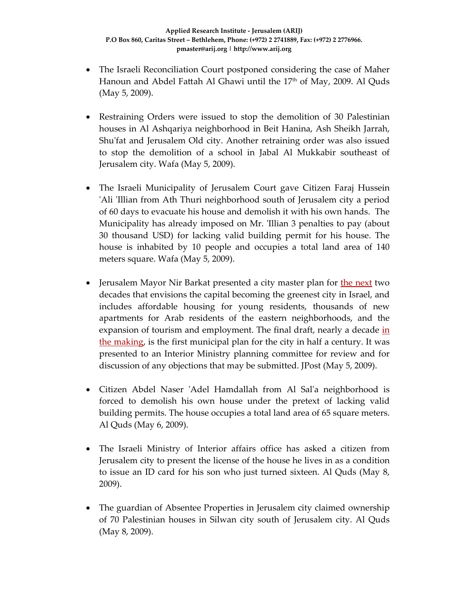- The Israeli Reconciliation Court postponed considering the case of Maher Hanoun and Abdel Fattah Al Ghawi until the 17<sup>th</sup> of May, 2009. Al Quds (May 5, 2009).
- Restraining Orders were issued to stop the demolition of 30 Palestinian houses in Al Ashqariya neighborhood in Beit Hanina, Ash Sheikh Jarrah, Shu'fat and Jerusalem Old city. Another retraining order was also issued to stop the demolition of a school in Jabal Al Mukkabir southeast of Jerusalem city. Wafa (May 5, 2009).
- The Israeli Municipality of Jerusalem Court gave Citizen Faraj Hussein 'Ali 'Illian from Ath Thuri neighborhood south of Jerusalem city a period of 60 days to evacuate his house and demolish it with his own hands. The Municipality has already imposed on Mr. 'Illian 3 penalties to pay (about 30 thousand USD) for lacking valid building permit for his house. The house is inhabited by 10 people and occupies a total land area of 140 meters square. Wafa (May 5, 2009).
- Jerusalem Mayor Nir Barkat presented a city master plan for the next two decades that envisions the capital becoming the greenest city in Israel, and includes affordable housing for young residents, thousands of new apartments for Arab residents of the eastern neighborhoods, and the expansion of tourism and employment. The final draft, nearly a decade in the making, is the first municipal plan for the city in half a century. It was presented to an Interior Ministry planning committee for review and for discussion of any objections that may be submitted. JPost (May 5, 2009).
- Citizen Abdel Naser 'Adel Hamdallah from Al Sal'a neighborhood is forced to demolish his own house under the pretext of lacking valid building permits. The house occupies a total land area of 65 square meters. Al Quds (May 6, 2009).
- The Israeli Ministry of Interior affairs office has asked a citizen from Jerusalem city to present the license of the house he lives in as a condition to issue an ID card for his son who just turned sixteen. Al Quds (May 8, 2009).
- The guardian of Absentee Properties in Jerusalem city claimed ownership of 70 Palestinian houses in Silwan city south of Jerusalem city. Al Quds (May 8, 2009).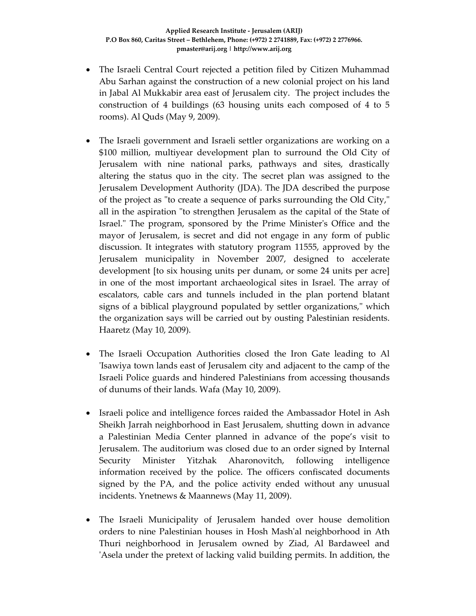- The Israeli Central Court rejected a petition filed by Citizen Muhammad Abu Sarhan against the construction of a new colonial project on his land in Jabal Al Mukkabir area east of Jerusalem city. The project includes the construction of 4 buildings (63 housing units each composed of 4 to 5 rooms). Al Quds (May 9, 2009).
- The Israeli government and Israeli settler organizations are working on a \$100 million, multiyear development plan to surround the Old City of Jerusalem with nine national parks, pathways and sites, drastically altering the status quo in the city. The secret plan was assigned to the Jerusalem Development Authority (JDA). The JDA described the purpose of the project as "to create a sequence of parks surrounding the Old City," all in the aspiration "to strengthen Jerusalem as the capital of the State of Israel." The program, sponsored by the Prime Minister's Office and the mayor of Jerusalem, is secret and did not engage in any form of public discussion. It integrates with statutory program 11555, approved by the Jerusalem municipality in November 2007, designed to accelerate development [to six housing units per dunam, or some 24 units per acre] in one of the most important archaeological sites in Israel. The array of escalators, cable cars and tunnels included in the plan portend blatant signs of a biblical playground populated by settler organizations," which the organization says will be carried out by ousting Palestinian residents. Haaretz (May 10, 2009).
- The Israeli Occupation Authorities closed the Iron Gate leading to Al ʹIsawiya town lands east of Jerusalem city and adjacent to the camp of the Israeli Police guards and hindered Palestinians from accessing thousands of dunums of their lands. Wafa (May 10, 2009).
- Israeli police and intelligence forces raided the Ambassador Hotel in Ash Sheikh Jarrah neighborhood in East Jerusalem, shutting down in advance a Palestinian Media Center planned in advance of the pope's visit to Jerusalem. The auditorium was closed due to an order signed by Internal Security Minister Yitzhak Aharonovitch, following intelligence information received by the police. The officers confiscated documents signed by the PA, and the police activity ended without any unusual incidents. Ynetnews & Maannews (May 11, 2009).
- The Israeli Municipality of Jerusalem handed over house demolition orders to nine Palestinian houses in Hosh Mashʹal neighborhood in Ath Thuri neighborhood in Jerusalem owned by Ziad, Al Bardaweel and ʹAsela under the pretext of lacking valid building permits. In addition, the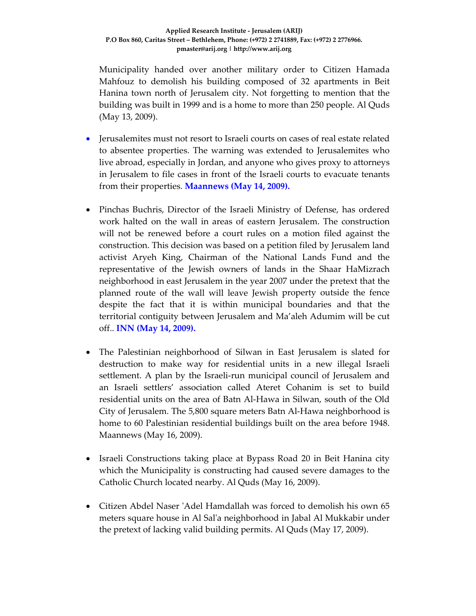Municipality handed over another military order to Citizen Hamada Mahfouz to demolish his building composed of 32 apartments in Beit Hanina town north of Jerusalem city. Not forgetting to mention that the building was built in 1999 and is a home to more than 250 people. Al Quds (May 13, 2009).

- Jerusalemites must not resort to Israeli courts on cases of real estate related to absentee properties. The warning was extended to Jerusalemites who live abroad, especially in Jordan, and anyone who gives proxy to attorneys in Jerusalem to file cases in front of the Israeli courts to evacuate tenants from their properties. **Maannews (May 14, 2009).**
- Pinchas Buchris, Director of the Israeli Ministry of Defense, has ordered work halted on the wall in areas of eastern Jerusalem. The construction will not be renewed before a court rules on a motion filed against the construction. This decision was based on a petition filed by Jerusalem land activist Aryeh King, Chairman of the National Lands Fund and the representative of the Jewish owners of lands in the Shaar HaMizrach neighborhood in east Jerusalem in the year 2007 under the pretext that the planned route of the wall will leave Jewish property outside the fence despite the fact that it is within municipal boundaries and that the territorial contiguity between Jerusalem and Ma'aleh Adumim will be cut off.. **INN (May 14, 2009).**
- The Palestinian neighborhood of Silwan in East Jerusalem is slated for destruction to make way for residential units in a new illegal Israeli settlement. A plan by the Israeli‐run municipal council of Jerusalem and an Israeli settlers' association called Ateret Cohanim is set to build residential units on the area of Batn Al‐Hawa in Silwan, south of the Old City of Jerusalem. The 5,800 square meters Batn Al‐Hawa neighborhood is home to 60 Palestinian residential buildings built on the area before 1948. Maannews (May 16, 2009).
- Israeli Constructions taking place at Bypass Road 20 in Beit Hanina city which the Municipality is constructing had caused severe damages to the Catholic Church located nearby. Al Quds (May 16, 2009).
- Citizen Abdel Naser 'Adel Hamdallah was forced to demolish his own 65 meters square house in Al Salʹa neighborhood in Jabal Al Mukkabir under the pretext of lacking valid building permits. Al Quds (May 17, 2009).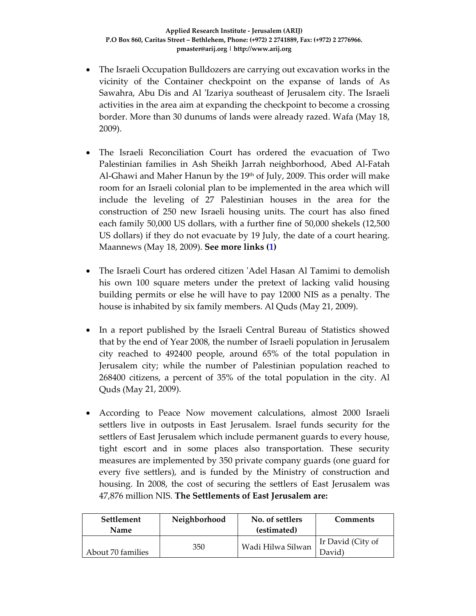- The Israeli Occupation Bulldozers are carrying out excavation works in the vicinity of the Container checkpoint on the expanse of lands of As Sawahra, Abu Dis and Al ʹIzariya southeast of Jerusalem city. The Israeli activities in the area aim at expanding the checkpoint to become a crossing border. More than 30 dunums of lands were already razed. Wafa (May 18, 2009).
- The Israeli Reconciliation Court has ordered the evacuation of Two Palestinian families in Ash Sheikh Jarrah neighborhood, Abed Al‐Fatah Al‐Ghawi and Maher Hanun by the 19th of July, 2009. This order will make room for an Israeli colonial plan to be implemented in the area which will include the leveling of 27 Palestinian houses in the area for the construction of 250 new Israeli housing units. The court has also fined each family 50,000 US dollars, with a further fine of 50,000 shekels (12,500 US dollars) if they do not evacuate by 19 July, the date of a court hearing. Maannews (May 18, 2009). **See more links (1)**
- The Israeli Court has ordered citizen ʹAdel Hasan Al Tamimi to demolish his own 100 square meters under the pretext of lacking valid housing building permits or else he will have to pay 12000 NIS as a penalty. The house is inhabited by six family members. Al Quds (May 21, 2009).
- In a report published by the Israeli Central Bureau of Statistics showed that by the end of Year 2008, the number of Israeli population in Jerusalem city reached to 492400 people, around 65% of the total population in Jerusalem city; while the number of Palestinian population reached to 268400 citizens, a percent of 35% of the total population in the city. Al Quds (May 21, 2009).
- According to Peace Now movement calculations, almost 2000 Israeli settlers live in outposts in East Jerusalem. Israel funds security for the settlers of East Jerusalem which include permanent guards to every house, tight escort and in some places also transportation. These security measures are implemented by 350 private company guards (one guard for every five settlers), and is funded by the Ministry of construction and housing. In 2008, the cost of securing the settlers of East Jerusalem was 47,876 million NIS. **The Settlements of East Jerusalem are:**

| <b>Settlement</b><br>Name | Neighborhood | No. of settlers<br>(estimated) | Comments                    |
|---------------------------|--------------|--------------------------------|-----------------------------|
| About 70 families         | 350          | Wadi Hilwa Silwan              | Ir David (City of<br>David) |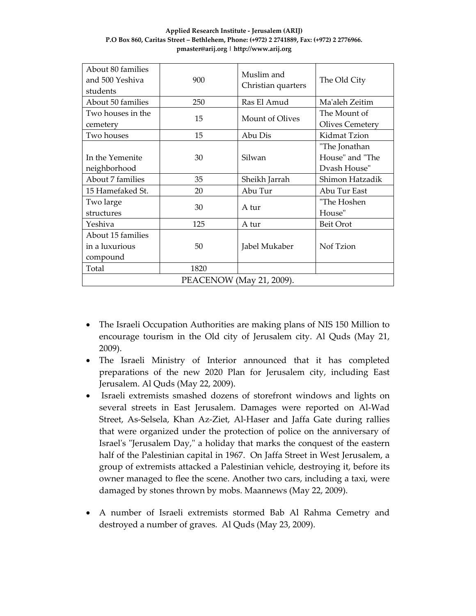| Applied Research Institute - Jerusalem (ARIJ)                                            |  |  |  |  |  |
|------------------------------------------------------------------------------------------|--|--|--|--|--|
| P.O Box 860. Caritas Street – Bethlehem. Phone: (+972) 2 2741889. Fax: (+972) 2 2776966. |  |  |  |  |  |
| pmaster@arij.org   http://www.arij.org                                                   |  |  |  |  |  |

| About 80 families<br>and 500 Yeshiya<br>students | 900  | Muslim and<br>Christian quarters | The Old City                                     |  |  |  |
|--------------------------------------------------|------|----------------------------------|--------------------------------------------------|--|--|--|
| About 50 families                                | 250  | Ras El Amud                      | Ma'aleh Zeitim                                   |  |  |  |
| Two houses in the<br>cemetery                    | 15   | Mount of Olives                  | The Mount of<br><b>Olives Cemetery</b>           |  |  |  |
| Two houses                                       | 15   | Abu Dis                          | Kidmat Tzion                                     |  |  |  |
| In the Yemenite<br>neighborhood                  | 30   | Silwan                           | "The Jonathan<br>House" and "The<br>Dyash House" |  |  |  |
| About 7 families                                 | 35   | Sheikh Jarrah                    | Shimon Hatzadik                                  |  |  |  |
| 15 Hamefaked St.                                 | 20   | Abu Tur                          | Abu Tur East                                     |  |  |  |
| Two large<br>structures                          | 30   | A tur                            | "The Hoshen<br>House"                            |  |  |  |
| Yeshiva                                          | 125  | A tur                            | Beit Orot                                        |  |  |  |
| About 15 families<br>in a luxurious<br>compound  | 50   | Jabel Mukaber                    | Nof Tzion                                        |  |  |  |
| Total                                            | 1820 |                                  |                                                  |  |  |  |
| PEACENOW (May 21, 2009).                         |      |                                  |                                                  |  |  |  |

- The Israeli Occupation Authorities are making plans of NIS 150 Million to encourage tourism in the Old city of Jerusalem city. Al Quds (May 21, 2009).
- The Israeli Ministry of Interior announced that it has completed preparations of the new 2020 Plan for Jerusalem city, including East Jerusalem. Al Quds (May 22, 2009).
- Israeli extremists smashed dozens of storefront windows and lights on several streets in East Jerusalem. Damages were reported on Al-Wad Street, As‐Selsela, Khan Az‐Ziet, Al‐Haser and Jaffa Gate during rallies that were organized under the protection of police on the anniversary of Israel's "Jerusalem Day," a holiday that marks the conquest of the eastern half of the Palestinian capital in 1967. On Jaffa Street in West Jerusalem, a group of extremists attacked a Palestinian vehicle, destroying it, before its owner managed to flee the scene. Another two cars, including a taxi, were damaged by stones thrown by mobs. Maannews (May 22, 2009).
- A number of Israeli extremists stormed Bab Al Rahma Cemetry and destroyed a number of graves. Al Quds (May 23, 2009).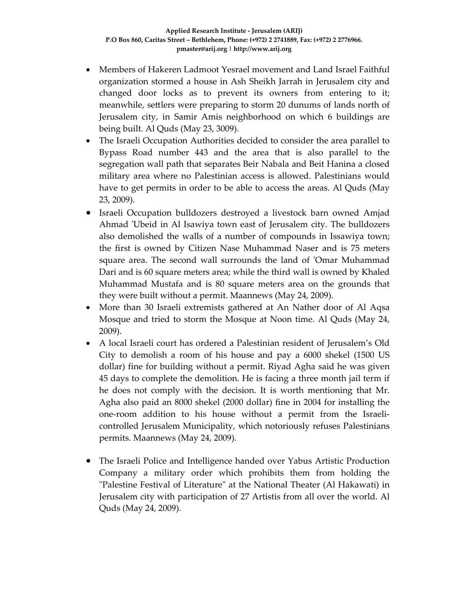- Members of Hakeren Ladmoot Yesrael movement and Land Israel Faithful organization stormed a house in Ash Sheikh Jarrah in Jerusalem city and changed door locks as to prevent its owners from entering to it; meanwhile, settlers were preparing to storm 20 dunums of lands north of Jerusalem city, in Samir Amis neighborhood on which 6 buildings are being built. Al Quds (May 23, 3009).
- The Israeli Occupation Authorities decided to consider the area parallel to Bypass Road number 443 and the area that is also parallel to the segregation wall path that separates Beir Nabala and Beit Hanina a closed military area where no Palestinian access is allowed. Palestinians would have to get permits in order to be able to access the areas. Al Quds (May 23, 2009).
- Israeli Occupation bulldozers destroyed a livestock barn owned Amjad Ahmad 'Ubeid in Al Isawiya town east of Jerusalem city. The bulldozers also demolished the walls of a number of compounds in Issawiya town; the first is owned by Citizen Nase Muhammad Naser and is 75 meters square area. The second wall surrounds the land of 'Omar Muhammad Dari and is 60 square meters area; while the third wall is owned by Khaled Muhammad Mustafa and is 80 square meters area on the grounds that they were built without a permit. Maannews (May 24, 2009).
- More than 30 Israeli extremists gathered at An Nather door of Al Aqsa Mosque and tried to storm the Mosque at Noon time. Al Quds (May 24, 2009).
- A local Israeli court has ordered a Palestinian resident of Jerusalem's Old City to demolish a room of his house and pay a 6000 shekel (1500 US dollar) fine for building without a permit. Riyad Agha said he was given 45 days to complete the demolition. He is facing a three month jail term if he does not comply with the decision. It is worth mentioning that Mr. Agha also paid an 8000 shekel (2000 dollar) fine in 2004 for installing the one‐room addition to his house without a permit from the Israeli‐ controlled Jerusalem Municipality, which notoriously refuses Palestinians permits. Maannews (May 24, 2009).
- The Israeli Police and Intelligence handed over Yabus Artistic Production Company a military order which prohibits them from holding the ʺPalestine Festival of Literatureʺ at the National Theater (Al Hakawati) in Jerusalem city with participation of 27 Artistis from all over the world. Al Quds (May 24, 2009).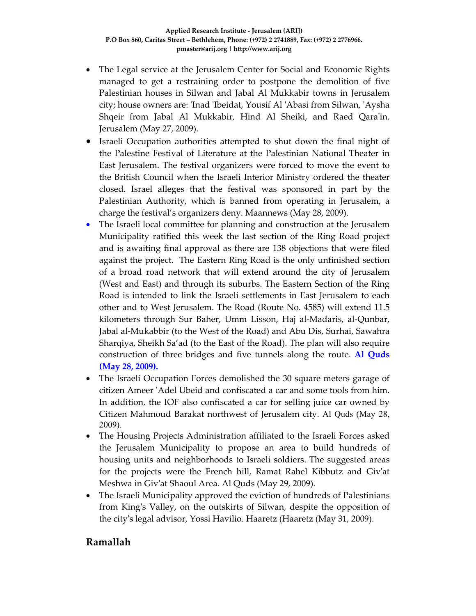- The Legal service at the Jerusalem Center for Social and Economic Rights managed to get a restraining order to postpone the demolition of five Palestinian houses in Silwan and Jabal Al Mukkabir towns in Jerusalem city; house owners are: ʹInad ʹIbeidat, Yousif Al ʹAbasi from Silwan, ʹAysha Shqeir from Jabal Al Mukkabir, Hind Al Sheiki, and Raed Qara'in. Jerusalem (May 27, 2009).
- Israeli Occupation authorities attempted to shut down the final night of the Palestine Festival of Literature at the Palestinian National Theater in East Jerusalem. The festival organizers were forced to move the event to the British Council when the Israeli Interior Ministry ordered the theater closed. Israel alleges that the festival was sponsored in part by the Palestinian Authority, which is banned from operating in Jerusalem, a charge the festival's organizers deny. Maannews (May 28, 2009).
- The Israeli local committee for planning and construction at the Jerusalem Municipality ratified this week the last section of the Ring Road project and is awaiting final approval as there are 138 objections that were filed against the project. The Eastern Ring Road is the only unfinished section of a broad road network that will extend around the city of Jerusalem (West and East) and through its suburbs. The Eastern Section of the Ring Road is intended to link the Israeli settlements in East Jerusalem to each other and to West Jerusalem. The Road (Route No. 4585) will extend 11.5 kilometers through Sur Baher, Umm Lisson, Haj al‐Madaris, al‐Qunbar, Jabal al‐Mukabbir (to the West of the Road) and Abu Dis, Surhai, Sawahra Sharqiya, Sheikh Sa'ad (to the East of the Road). The plan will also require construction of three bridges and five tunnels along the route. **Al Quds (May 28, 2009).**
- The Israeli Occupation Forces demolished the 30 square meters garage of citizen Ameer ʹAdel Ubeid and confiscated a car and some tools from him. In addition, the IOF also confiscated a car for selling juice car owned by Citizen Mahmoud Barakat northwest of Jerusalem city. Al Quds (May 28, 2009).
- The Housing Projects Administration affiliated to the Israeli Forces asked the Jerusalem Municipality to propose an area to build hundreds of housing units and neighborhoods to Israeli soldiers. The suggested areas for the projects were the French hill, Ramat Rahel Kibbutz and Givʹat Meshwa in Givʹat Shaoul Area. Al Quds (May 29, 2009).
- The Israeli Municipality approved the eviction of hundreds of Palestinians from Kingʹs Valley, on the outskirts of Silwan, despite the opposition of the cityʹs legal advisor, Yossi Havilio. Haaretz (Haaretz (May 31, 2009).

#### **Ramallah**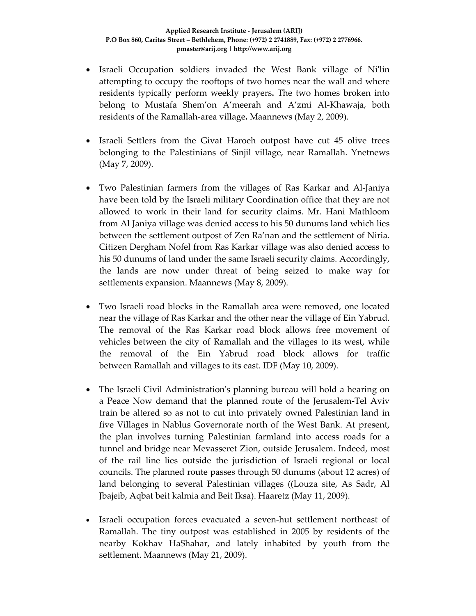- Israeli Occupation soldiers invaded the West Bank village of Nilin attempting to occupy the rooftops of two homes near the wall and where residents typically perform weekly prayers**.** The two homes broken into belong to Mustafa Shem'on A'meerah and A'zmi Al‐Khawaja, both residents of the Ramallah‐area village**.** Maannews (May 2, 2009).
- Israeli Settlers from the Givat Haroeh outpost have cut 45 olive trees belonging to the Palestinians of Sinjil village, near Ramallah. Ynetnews (May 7, 2009).
- Two Palestinian farmers from the villages of Ras Karkar and Al‐Janiya have been told by the Israeli military Coordination office that they are not allowed to work in their land for security claims. Mr. Hani Mathloom from Al Janiya village was denied access to his 50 dunums land which lies between the settlement outpost of Zen Ra'nan and the settlement of Niria. Citizen Dergham Nofel from Ras Karkar village was also denied access to his 50 dunums of land under the same Israeli security claims. Accordingly, the lands are now under threat of being seized to make way for settlements expansion. Maannews (May 8, 2009).
- Two Israeli road blocks in the Ramallah area were removed, one located near the village of Ras Karkar and the other near the village of Ein Yabrud. The removal of the Ras Karkar road block allows free movement of vehicles between the city of Ramallah and the villages to its west, while the removal of the Ein Yabrud road block allows for traffic between Ramallah and villages to its east. IDF (May 10, 2009).
- The Israeli Civil Administration's planning bureau will hold a hearing on a Peace Now demand that the planned route of the Jerusalem‐Tel Aviv train be altered so as not to cut into privately owned Palestinian land in five Villages in Nablus Governorate north of the West Bank. At present, the plan involves turning Palestinian farmland into access roads for a tunnel and bridge near Mevasseret Zion, outside Jerusalem. Indeed, most of the rail line lies outside the jurisdiction of Israeli regional or local councils. The planned route passes through 50 dunums (about 12 acres) of land belonging to several Palestinian villages ((Louza site, As Sadr, Al Jbajeib, Aqbat beit kalmia and Beit Iksa). Haaretz (May 11, 2009).
- Israeli occupation forces evacuated a seven-hut settlement northeast of Ramallah. The tiny outpost was established in 2005 by residents of the nearby Kokhav HaShahar, and lately inhabited by youth from the settlement. Maannews (May 21, 2009).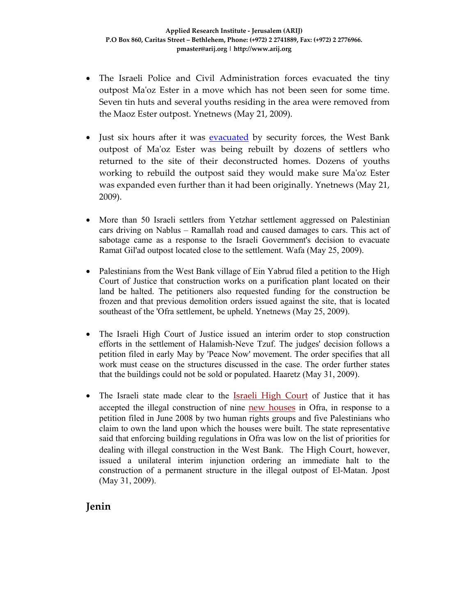- The Israeli Police and Civil Administration forces evacuated the tiny outpost Maʹoz Ester in a move which has not been seen for some time. Seven tin huts and several youths residing in the area were removed from the Maoz Ester outpost. Ynetnews (May 21, 2009).
- Just six hours after it was evacuated by security forces, the West Bank outpost of Maʹoz Ester was being rebuilt by dozens of settlers who returned to the site of their deconstructed homes. Dozens of youths working to rebuild the outpost said they would make sure Maʹoz Ester was expanded even further than it had been originally. Ynetnews (May 21, 2009).
- More than 50 Israeli settlers from Yetzhar settlement aggressed on Palestinian cars driving on Nablus – Ramallah road and caused damages to cars. This act of sabotage came as a response to the Israeli Government's decision to evacuate Ramat Gil'ad outpost located close to the settlement. Wafa (May 25, 2009).
- Palestinians from the West Bank village of Ein Yabrud filed a petition to the High Court of Justice that construction works on a purification plant located on their land be halted. The petitioners also requested funding for the construction be frozen and that previous demolition orders issued against the site, that is located southeast of the 'Ofra settlement, be upheld. Ynetnews (May 25, 2009).
- The Israeli High Court of Justice issued an interim order to stop construction efforts in the settlement of Halamish-Neve Tzuf. The judges' decision follows a petition filed in early May by 'Peace Now' movement. The order specifies that all work must cease on the structures discussed in the case. The order further states that the buildings could not be sold or populated. Haaretz (May 31, 2009).
- The Israeli state made clear to the Israeli High Court of Justice that it has accepted the illegal construction of nine new houses in Ofra, in response to a petition filed in June 2008 by two human rights groups and five Palestinians who claim to own the land upon which the houses were built. The state representative said that enforcing building regulations in Ofra was low on the list of priorities for dealing with illegal construction in the West Bank. The High Court, however, issued a unilateral interim injunction ordering an immediate halt to the construction of a permanent structure in the illegal outpost of El-Matan. Jpost (May 31, 2009).

**Jenin**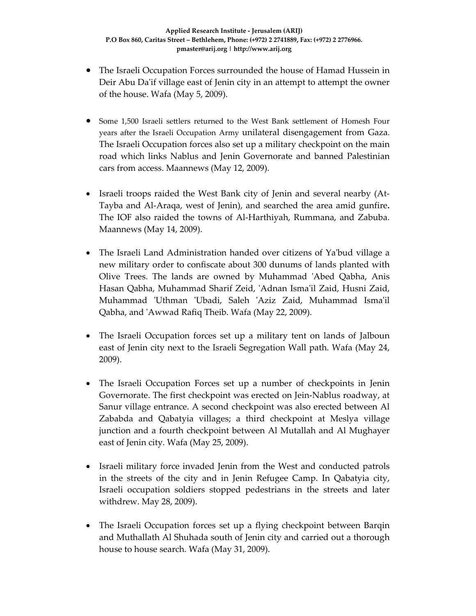- The Israeli Occupation Forces surrounded the house of Hamad Hussein in Deir Abu Da'if village east of Jenin city in an attempt to attempt the owner of the house. Wafa (May 5, 2009).
- Some 1,500 Israeli settlers returned to the West Bank settlement of Homesh Four years after the Israeli Occupation Army unilateral disengagement from Gaza. The Israeli Occupation forces also set up a military checkpoint on the main road which links Nablus and Jenin Governorate and banned Palestinian cars from access. Maannews (May 12, 2009).
- Israeli troops raided the West Bank city of Jenin and several nearby (At-Tayba and Al‐Araqa, west of Jenin), and searched the area amid gunfire**.** The IOF also raided the towns of Al‐Harthiyah, Rummana, and Zabuba. Maannews (May 14, 2009).
- The Israeli Land Administration handed over citizens of Ya'bud village a new military order to confiscate about 300 dunums of lands planted with Olive Trees. The lands are owned by Muhammad ʹAbed Qabha, Anis Hasan Qabha, Muhammad Sharif Zeid, ʹAdnan Ismaʹil Zaid, Husni Zaid, Muhammad 'Uthman 'Ubadi, Saleh 'Aziz Zaid, Muhammad Isma'il Qabha, and ʹAwwad Rafiq Theib. Wafa (May 22, 2009).
- The Israeli Occupation forces set up a military tent on lands of Jalboun east of Jenin city next to the Israeli Segregation Wall path. Wafa (May 24, 2009).
- The Israeli Occupation Forces set up a number of checkpoints in Jenin Governorate. The first checkpoint was erected on Jein‐Nablus roadway, at Sanur village entrance. A second checkpoint was also erected between Al Zababda and Qabatyia villages; a third checkpoint at Meslya village junction and a fourth checkpoint between Al Mutallah and Al Mughayer east of Jenin city. Wafa (May 25, 2009).
- Israeli military force invaded Jenin from the West and conducted patrols in the streets of the city and in Jenin Refugee Camp. In Qabatyia city, Israeli occupation soldiers stopped pedestrians in the streets and later withdrew. May 28, 2009).
- The Israeli Occupation forces set up a flying checkpoint between Barqin and Muthallath Al Shuhada south of Jenin city and carried out a thorough house to house search. Wafa (May 31, 2009).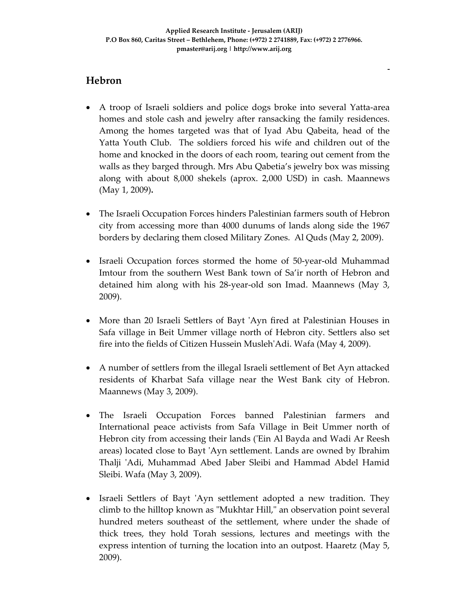ـ

# **Hebron**

- A troop of Israeli soldiers and police dogs broke into several Yatta‐area homes and stole cash and jewelry after ransacking the family residences. Among the homes targeted was that of Iyad Abu Qabeita, head of the Yatta Youth Club. The soldiers forced his wife and children out of the home and knocked in the doors of each room, tearing out cement from the walls as they barged through. Mrs Abu Qabetia's jewelry box was missing along with about 8,000 shekels (aprox. 2,000 USD) in cash. Maannews (May 1, 2009)**.**
- The Israeli Occupation Forces hinders Palestinian farmers south of Hebron city from accessing more than 4000 dunums of lands along side the 1967 borders by declaring them closed Military Zones. Al Quds (May 2, 2009).
- Israeli Occupation forces stormed the home of 50-year-old Muhammad Imtour from the southern West Bank town of Sa'ir north of Hebron and detained him along with his 28‐year‐old son Imad. Maannews (May 3, 2009).
- More than 20 Israeli Settlers of Bayt 'Ayn fired at Palestinian Houses in Safa village in Beit Ummer village north of Hebron city. Settlers also set fire into the fields of Citizen Hussein MuslehʹAdi. Wafa (May 4, 2009).
- A number of settlers from the illegal Israeli settlement of Bet Ayn attacked residents of Kharbat Safa village near the West Bank city of Hebron. Maannews (May 3, 2009).
- The Israeli Occupation Forces banned Palestinian farmers and International peace activists from Safa Village in Beit Ummer north of Hebron city from accessing their lands (ʹEin Al Bayda and Wadi Ar Reesh areas) located close to Bayt ʹAyn settlement. Lands are owned by Ibrahim Thalji 'Adi, Muhammad Abed Jaber Sleibi and Hammad Abdel Hamid Sleibi. Wafa (May 3, 2009).
- Israeli Settlers of Bayt 'Ayn settlement adopted a new tradition. They climb to the hilltop known as "Mukhtar Hill," an observation point several hundred meters southeast of the settlement, where under the shade of thick trees, they hold Torah sessions, lectures and meetings with the express intention of turning the location into an outpost. Haaretz (May 5, 2009).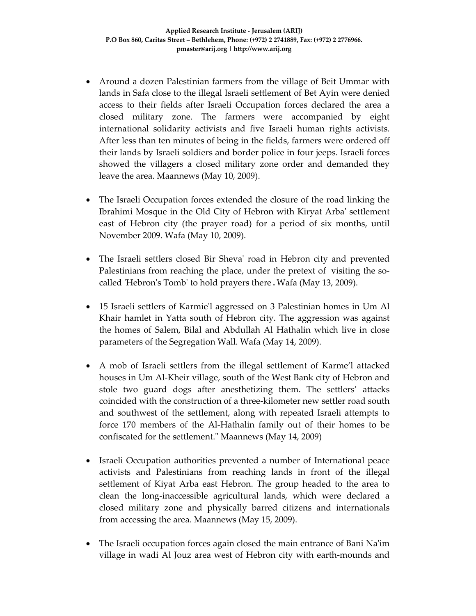- Around a dozen Palestinian farmers from the village of Beit Ummar with lands in Safa close to the illegal Israeli settlement of Bet Ayin were denied access to their fields after Israeli Occupation forces declared the area a closed military zone. The farmers were accompanied by eight international solidarity activists and five Israeli human rights activists. After less than ten minutes of being in the fields, farmers were ordered off their lands by Israeli soldiers and border police in four jeeps. Israeli forces showed the villagers a closed military zone order and demanded they leave the area. Maannews (May 10, 2009).
- The Israeli Occupation forces extended the closure of the road linking the Ibrahimi Mosque in the Old City of Hebron with Kiryat Arbaʹ settlement east of Hebron city (the prayer road) for a period of six months, until November 2009. Wafa (May 10, 2009).
- The Israeli settlers closed Bir Sheva' road in Hebron city and prevented Palestinians from reaching the place, under the pretext of visiting the socalled ʹHebronʹs Tombʹ to hold prayers there.Wafa (May 13, 2009).
- 15 Israeli settlers of Karmie'l aggressed on 3 Palestinian homes in Um Al Khair hamlet in Yatta south of Hebron city. The aggression was against the homes of Salem, Bilal and Abdullah Al Hathalin which live in close parameters of the Segregation Wall. Wafa (May 14, 2009).
- A mob of Israeli settlers from the illegal settlement of Karme'l attacked houses in Um Al‐Kheir village, south of the West Bank city of Hebron and stole two guard dogs after anesthetizing them. The settlers' attacks coincided with the construction of a three‐kilometer new settler road south and southwest of the settlement, along with repeated Israeli attempts to force 170 members of the Al‐Hathalin family out of their homes to be confiscated for the settlement." Maannews (May 14, 2009)
- Israeli Occupation authorities prevented a number of International peace activists and Palestinians from reaching lands in front of the illegal settlement of Kiyat Arba east Hebron. The group headed to the area to clean the long‐inaccessible agricultural lands, which were declared a closed military zone and physically barred citizens and internationals from accessing the area. Maannews (May 15, 2009).
- The Israeli occupation forces again closed the main entrance of Bani Na'im village in wadi Al Jouz area west of Hebron city with earth‐mounds and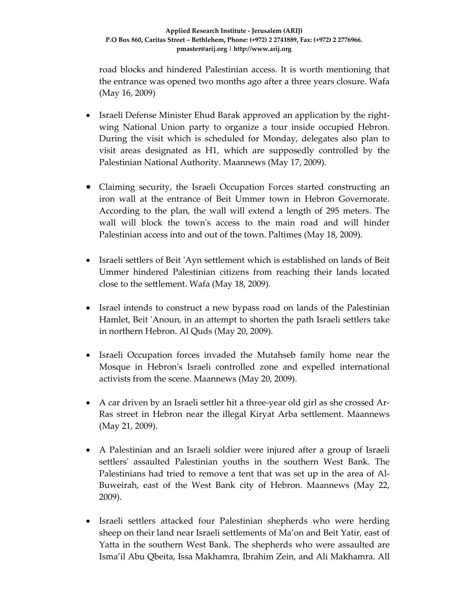road blocks and hindered Palestinian access. It is worth mentioning that the entrance was opened two months ago after a three years closure. Wafa (May 16, 2009)

- Israeli Defense Minister Ehud Barak approved an application by the right‐ wing National Union party to organize a tour inside occupied Hebron. During the visit which is scheduled for Monday, delegates also plan to visit areas designated as H1, which are supposedly controlled by the Palestinian National Authority. Maannews (May 17, 2009).
- Claiming security, the Israeli Occupation Forces started constructing an iron wall at the entrance of Beit Ummer town in Hebron Governorate. According to the plan, the wall will extend a length of 295 meters. The wall will block the town's access to the main road and will hinder Palestinian access into and out of the town. Paltimes (May 18, 2009).
- Israeli settlers of Beit 'Ayn settlement which is established on lands of Beit Ummer hindered Palestinian citizens from reaching their lands located close to the settlement. Wafa (May 18, 2009).
- Israel intends to construct a new bypass road on lands of the Palestinian Hamlet, Beit 'Anoun, in an attempt to shorten the path Israeli settlers take in northern Hebron. Al Quds (May 20, 2009).
- Israeli Occupation forces invaded the Mutahseb family home near the Mosque in Hebronʹs Israeli controlled zone and expelled international activists from the scene. Maannews (May 20, 2009).
- A car driven by an Israeli settler hit a three-year old girl as she crossed Ar-Ras street in Hebron near the illegal Kiryat Arba settlement. Maannews (May 21, 2009).
- A Palestinian and an Israeli soldier were injured after a group of Israeli settlers' assaulted Palestinian youths in the southern West Bank. The Palestinians had tried to remove a tent that was set up in the area of Al‐ Buweirah, east of the West Bank city of Hebron. Maannews (May 22, 2009).
- Israeli settlers attacked four Palestinian shepherds who were herding sheep on their land near Israeli settlements of Ma'on and Beit Yatir, east of Yatta in the southern West Bank. The shepherds who were assaulted are Isma'il Abu Qbeita, Issa Makhamra, Ibrahim Zein, and Ali Makhamra. All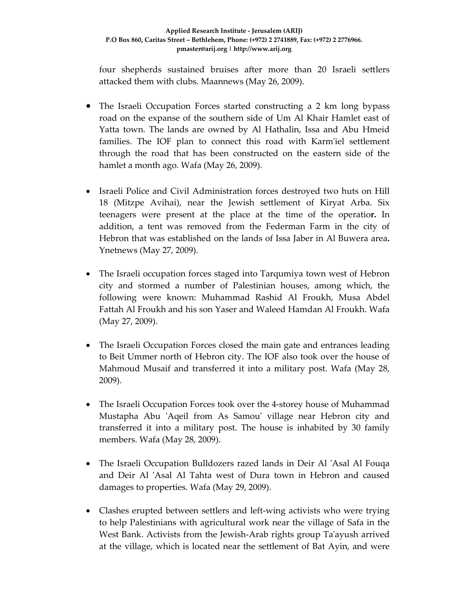four shepherds sustained bruises after more than 20 Israeli settlers attacked them with clubs. Maannews (May 26, 2009).

- The Israeli Occupation Forces started constructing a 2 km long bypass road on the expanse of the southern side of Um Al Khair Hamlet east of Yatta town. The lands are owned by Al Hathalin, Issa and Abu Hmeid families. The IOF plan to connect this road with Karm'iel settlement through the road that has been constructed on the eastern side of the hamlet a month ago. Wafa (May 26, 2009).
- Israeli Police and Civil Administration forces destroyed two huts on Hill 18 (Mitzpe Avihai), near the Jewish settlement of Kiryat Arba. Six teenagers were present at the place at the time of the operatio**r.** In addition, a tent was removed from the Federman Farm in the city of Hebron that was established on the lands of Issa Jaber in Al Buwera area**.** Ynetnews (May 27, 2009).
- The Israeli occupation forces staged into Tarqumiya town west of Hebron city and stormed a number of Palestinian houses, among which, the following were known: Muhammad Rashid Al Froukh, Musa Abdel Fattah Al Froukh and his son Yaser and Waleed Hamdan Al Froukh. Wafa (May 27, 2009).
- The Israeli Occupation Forces closed the main gate and entrances leading to Beit Ummer north of Hebron city. The IOF also took over the house of Mahmoud Musaif and transferred it into a military post. Wafa (May 28, 2009).
- The Israeli Occupation Forces took over the 4-storey house of Muhammad Mustapha Abu 'Aqeil from As Samou' village near Hebron city and transferred it into a military post. The house is inhabited by 30 family members. Wafa (May 28, 2009).
- The Israeli Occupation Bulldozers razed lands in Deir Al 'Asal Al Fouqa and Deir Al ʹAsal Al Tahta west of Dura town in Hebron and caused damages to properties. Wafa (May 29, 2009).
- Clashes erupted between settlers and left-wing activists who were trying to help Palestinians with agricultural work near the village of Safa in the West Bank. Activists from the Jewish-Arab rights group Ta'ayush arrived at the village, which is located near the settlement of Bat Ayin, and were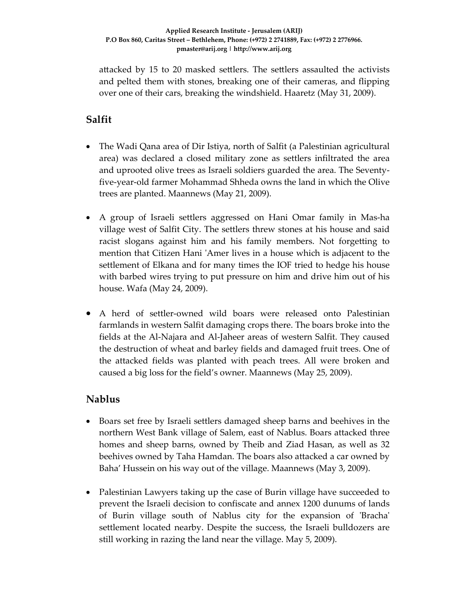attacked by 15 to 20 masked settlers. The settlers assaulted the activists and pelted them with stones, breaking one of their cameras, and flipping over one of their cars, breaking the windshield. Haaretz (May 31, 2009).

# **Salfit**

- The Wadi Qana area of Dir Istiya, north of Salfit (a Palestinian agricultural area) was declared a closed military zone as settlers infiltrated the area and uprooted olive trees as Israeli soldiers guarded the area. The Seventy‐ five‐year‐old farmer Mohammad Shheda owns the land in which the Olive trees are planted. Maannews (May 21, 2009).
- A group of Israeli settlers aggressed on Hani Omar family in Mas‐ha village west of Salfit City. The settlers threw stones at his house and said racist slogans against him and his family members. Not forgetting to mention that Citizen Hani 'Amer lives in a house which is adjacent to the settlement of Elkana and for many times the IOF tried to hedge his house with barbed wires trying to put pressure on him and drive him out of his house. Wafa (May 24, 2009).
- A herd of settler-owned wild boars were released onto Palestinian farmlands in western Salfit damaging crops there. The boars broke into the fields at the Al‐Najara and Al‐Jaheer areas of western Salfit. They caused the destruction of wheat and barley fields and damaged fruit trees. One of the attacked fields was planted with peach trees. All were broken and caused a big loss for the field's owner. Maannews (May 25, 2009).

### **Nablus**

- Boars set free by Israeli settlers damaged sheep barns and beehives in the northern West Bank village of Salem, east of Nablus. Boars attacked three homes and sheep barns, owned by Theib and Ziad Hasan, as well as 32 beehives owned by Taha Hamdan. The boars also attacked a car owned by Baha' Hussein on his way out of the village. Maannews (May 3, 2009).
- Palestinian Lawyers taking up the case of Burin village have succeeded to prevent the Israeli decision to confiscate and annex 1200 dunums of lands of Burin village south of Nablus city for the expansion of 'Bracha' settlement located nearby. Despite the success, the Israeli bulldozers are still working in razing the land near the village. May 5, 2009).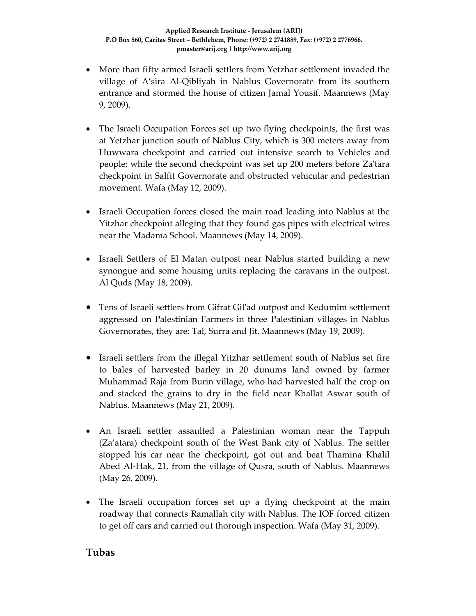- More than fifty armed Israeli settlers from Yetzhar settlement invaded the village of A'sira Al‐Qibliyah in Nablus Governorate from its southern entrance and stormed the house of citizen Jamal Yousif. Maannews (May 9, 2009).
- The Israeli Occupation Forces set up two flying checkpoints, the first was at Yetzhar junction south of Nablus City, which is 300 meters away from Huwwara checkpoint and carried out intensive search to Vehicles and people; while the second checkpoint was set up 200 meters before Zaʹtara checkpoint in Salfit Governorate and obstructed vehicular and pedestrian movement. Wafa (May 12, 2009).
- Israeli Occupation forces closed the main road leading into Nablus at the Yitzhar checkpoint alleging that they found gas pipes with electrical wires near the Madama School. Maannews (May 14, 2009).
- Israeli Settlers of El Matan outpost near Nablus started building a new synongue and some housing units replacing the caravans in the outpost. Al Quds (May 18, 2009).
- Tens of Israeli settlers from Gifrat Gil'ad outpost and Kedumim settlement aggressed on Palestinian Farmers in three Palestinian villages in Nablus Governorates, they are: Tal, Surra and Jit. Maannews (May 19, 2009).
- Israeli settlers from the illegal Yitzhar settlement south of Nablus set fire to bales of harvested barley in 20 dunums land owned by farmer Muhammad Raja from Burin village, who had harvested half the crop on and stacked the grains to dry in the field near Khallat Aswar south of Nablus. Maannews (May 21, 2009).
- An Israeli settler assaulted a Palestinian woman near the Tappuh (Za'atara) checkpoint south of the West Bank city of Nablus. The settler stopped his car near the checkpoint, got out and beat Thamina Khalil Abed Al‐Hak, 21, from the village of Qusra, south of Nablus. Maannews (May 26, 2009).
- The Israeli occupation forces set up a flying checkpoint at the main roadway that connects Ramallah city with Nablus. The IOF forced citizen to get off cars and carried out thorough inspection. Wafa (May 31, 2009).

#### **Tubas**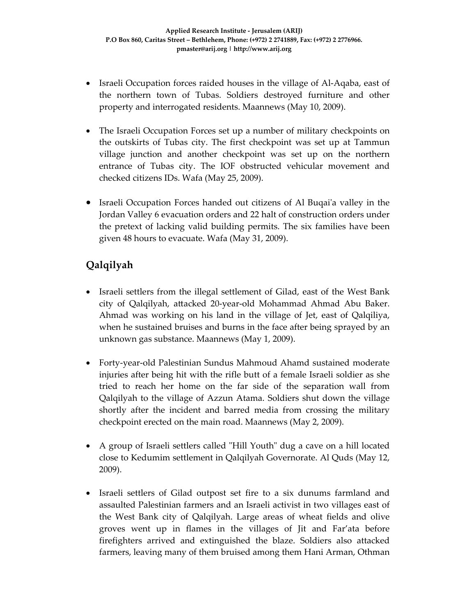- Israeli Occupation forces raided houses in the village of Al-Aqaba, east of the northern town of Tubas. Soldiers destroyed furniture and other property and interrogated residents. Maannews (May 10, 2009).
- The Israeli Occupation Forces set up a number of military checkpoints on the outskirts of Tubas city. The first checkpoint was set up at Tammun village junction and another checkpoint was set up on the northern entrance of Tubas city. The IOF obstructed vehicular movement and checked citizens IDs. Wafa (May 25, 2009).
- Israeli Occupation Forces handed out citizens of Al Buqai'a valley in the Jordan Valley 6 evacuation orders and 22 halt of construction orders under the pretext of lacking valid building permits. The six families have been given 48 hours to evacuate. Wafa (May 31, 2009).

# **Qalqilyah**

- Israeli settlers from the illegal settlement of Gilad, east of the West Bank city of Qalqilyah, attacked 20‐year‐old Mohammad Ahmad Abu Baker. Ahmad was working on his land in the village of Jet, east of Qalqiliya, when he sustained bruises and burns in the face after being sprayed by an unknown gas substance. Maannews (May 1, 2009).
- Forty‐year‐old Palestinian Sundus Mahmoud Ahamd sustained moderate injuries after being hit with the rifle butt of a female Israeli soldier as she tried to reach her home on the far side of the separation wall from Qalqilyah to the village of Azzun Atama. Soldiers shut down the village shortly after the incident and barred media from crossing the military checkpoint erected on the main road. Maannews (May 2, 2009).
- A group of Israeli settlers called "Hill Youth" dug a cave on a hill located close to Kedumim settlement in Qalqilyah Governorate. Al Quds (May 12, 2009).
- Israeli settlers of Gilad outpost set fire to a six dunums farmland and assaulted Palestinian farmers and an Israeli activist in two villages east of the West Bank city of Qalqilyah. Large areas of wheat fields and olive groves went up in flames in the villages of Jit and Far'ata before firefighters arrived and extinguished the blaze. Soldiers also attacked farmers, leaving many of them bruised among them Hani Arman, Othman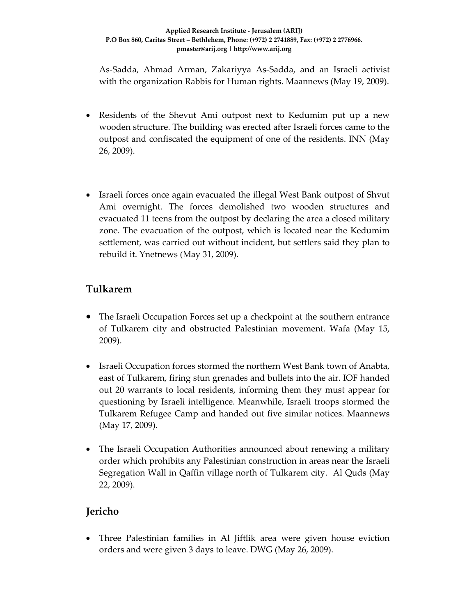As‐Sadda, Ahmad Arman, Zakariyya As‐Sadda, and an Israeli activist with the organization Rabbis for Human rights. Maannews (May 19, 2009).

- Residents of the Shevut Ami outpost next to Kedumim put up a new wooden structure. The building was erected after Israeli forces came to the outpost and confiscated the equipment of one of the residents. INN (May 26, 2009).
- Israeli forces once again evacuated the illegal West Bank outpost of Shvut Ami overnight. The forces demolished two wooden structures and evacuated 11 teens from the outpost by declaring the area a closed military zone. The evacuation of the outpost, which is located near the Kedumim settlement, was carried out without incident, but settlers said they plan to rebuild it. Ynetnews (May 31, 2009).

# **Tulkarem**

- The Israeli Occupation Forces set up a checkpoint at the southern entrance of Tulkarem city and obstructed Palestinian movement. Wafa (May 15, 2009).
- Israeli Occupation forces stormed the northern West Bank town of Anabta, east of Tulkarem, firing stun grenades and bullets into the air. IOF handed out 20 warrants to local residents, informing them they must appear for questioning by Israeli intelligence. Meanwhile, Israeli troops stormed the Tulkarem Refugee Camp and handed out five similar notices. Maannews (May 17, 2009).
- The Israeli Occupation Authorities announced about renewing a military order which prohibits any Palestinian construction in areas near the Israeli Segregation Wall in Qaffin village north of Tulkarem city. Al Quds (May 22, 2009).

# **Jericho**

• Three Palestinian families in Al Jiftlik area were given house eviction orders and were given 3 days to leave. DWG (May 26, 2009).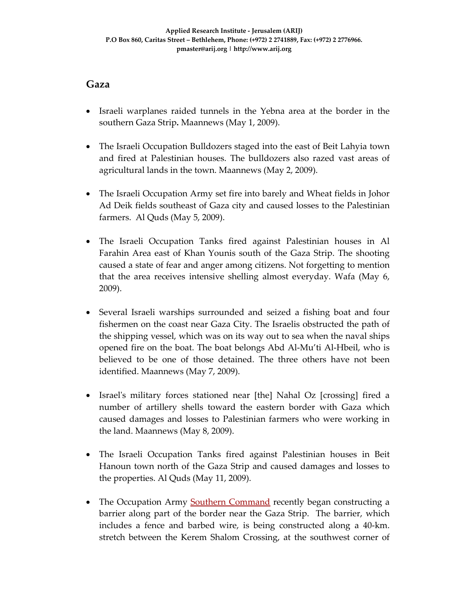#### **Gaza**

- Israeli warplanes raided tunnels in the Yebna area at the border in the southern Gaza Strip**.** Maannews (May 1, 2009).
- The Israeli Occupation Bulldozers staged into the east of Beit Lahyia town and fired at Palestinian houses. The bulldozers also razed vast areas of agricultural lands in the town. Maannews (May 2, 2009).
- The Israeli Occupation Army set fire into barely and Wheat fields in Johor Ad Deik fields southeast of Gaza city and caused losses to the Palestinian farmers. Al Quds (May 5, 2009).
- The Israeli Occupation Tanks fired against Palestinian houses in Al Farahin Area east of Khan Younis south of the Gaza Strip. The shooting caused a state of fear and anger among citizens. Not forgetting to mention that the area receives intensive shelling almost everyday. Wafa (May 6, 2009).
- Several Israeli warships surrounded and seized a fishing boat and four fishermen on the coast near Gaza City. The Israelis obstructed the path of the shipping vessel, which was on its way out to sea when the naval ships opened fire on the boat. The boat belongs Abd Al‐Mu'ti Al‐Hbeil, who is believed to be one of those detained. The three others have not been identified. Maannews (May 7, 2009).
- Israel's military forces stationed near [the] Nahal Oz [crossing] fired a number of artillery shells toward the eastern border with Gaza which caused damages and losses to Palestinian farmers who were working in the land. Maannews (May 8, 2009).
- The Israeli Occupation Tanks fired against Palestinian houses in Beit Hanoun town north of the Gaza Strip and caused damages and losses to the properties. Al Quds (May 11, 2009).
- The Occupation Army Southern Command recently began constructing a barrier along part of the border near the Gaza Strip. The barrier, which includes a fence and barbed wire, is being constructed along a 40‐km. stretch between the Kerem Shalom Crossing, at the southwest corner of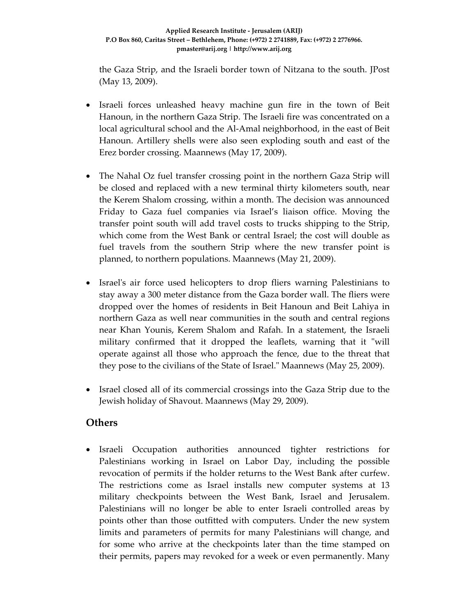the Gaza Strip, and the Israeli border town of Nitzana to the south. JPost (May 13, 2009).

- Israeli forces unleashed heavy machine gun fire in the town of Beit Hanoun, in the northern Gaza Strip. The Israeli fire was concentrated on a local agricultural school and the Al‐Amal neighborhood, in the east of Beit Hanoun. Artillery shells were also seen exploding south and east of the Erez border crossing. Maannews (May 17, 2009).
- The Nahal Oz fuel transfer crossing point in the northern Gaza Strip will be closed and replaced with a new terminal thirty kilometers south, near the Kerem Shalom crossing, within a month. The decision was announced Friday to Gaza fuel companies via Israel's liaison office. Moving the transfer point south will add travel costs to trucks shipping to the Strip, which come from the West Bank or central Israel; the cost will double as fuel travels from the southern Strip where the new transfer point is planned, to northern populations. Maannews (May 21, 2009).
- Israel's air force used helicopters to drop fliers warning Palestinians to stay away a 300 meter distance from the Gaza border wall. The fliers were dropped over the homes of residents in Beit Hanoun and Beit Lahiya in northern Gaza as well near communities in the south and central regions near Khan Younis, Kerem Shalom and Rafah. In a statement, the Israeli military confirmed that it dropped the leaflets, warning that it "will operate against all those who approach the fence, due to the threat that they pose to the civilians of the State of Israel." Maannews (May 25, 2009).
- Israel closed all of its commercial crossings into the Gaza Strip due to the Jewish holiday of Shavout. Maannews (May 29, 2009).

### **Others**

• Israeli Occupation authorities announced tighter restrictions for Palestinians working in Israel on Labor Day, including the possible revocation of permits if the holder returns to the West Bank after curfew. The restrictions come as Israel installs new computer systems at 13 military checkpoints between the West Bank, Israel and Jerusalem. Palestinians will no longer be able to enter Israeli controlled areas by points other than those outfitted with computers. Under the new system limits and parameters of permits for many Palestinians will change, and for some who arrive at the checkpoints later than the time stamped on their permits, papers may revoked for a week or even permanently. Many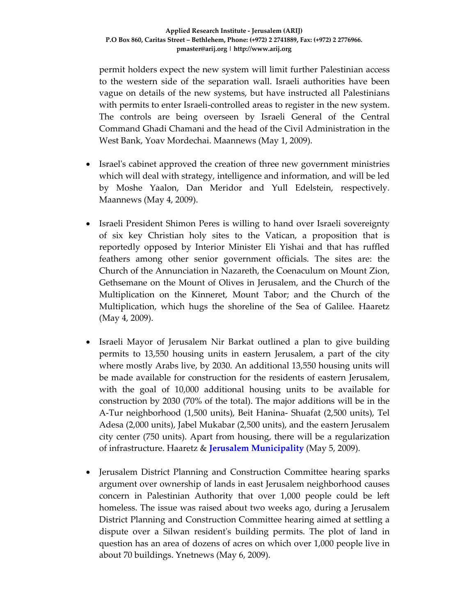permit holders expect the new system will limit further Palestinian access to the western side of the separation wall. Israeli authorities have been vague on details of the new systems, but have instructed all Palestinians with permits to enter Israeli-controlled areas to register in the new system. The controls are being overseen by Israeli General of the Central Command Ghadi Chamani and the head of the Civil Administration in the West Bank, Yoav Mordechai. Maannews (May 1, 2009).

- Israel's cabinet approved the creation of three new government ministries which will deal with strategy, intelligence and information, and will be led by Moshe Yaalon, Dan Meridor and Yull Edelstein, respectively. Maannews (May 4, 2009).
- Israeli President Shimon Peres is willing to hand over Israeli sovereignty of six key Christian holy sites to the Vatican, a proposition that is reportedly opposed by Interior Minister Eli Yishai and that has ruffled feathers among other senior government officials. The sites are: the Church of the Annunciation in Nazareth, the Coenaculum on Mount Zion, Gethsemane on the Mount of Olives in Jerusalem, and the Church of the Multiplication on the Kinneret, Mount Tabor; and the Church of the Multiplication, which hugs the shoreline of the Sea of Galilee. Haaretz (May 4, 2009).
- Israeli Mayor of Jerusalem Nir Barkat outlined a plan to give building permits to 13,550 housing units in eastern Jerusalem, a part of the city where mostly Arabs live, by 2030. An additional 13,550 housing units will be made available for construction for the residents of eastern Jerusalem, with the goal of 10,000 additional housing units to be available for construction by 2030 (70% of the total). The major additions will be in the A‐Tur neighborhood (1,500 units), Beit Hanina‐ Shuafat (2,500 units), Tel Adesa (2,000 units), Jabel Mukabar (2,500 units), and the eastern Jerusalem city center (750 units). Apart from housing, there will be a regularization of infrastructure. Haaretz & **Jerusalem Municipality** (May 5, 2009).
- Jerusalem District Planning and Construction Committee hearing sparks argument over ownership of lands in east Jerusalem neighborhood causes concern in Palestinian Authority that over 1,000 people could be left homeless. The issue was raised about two weeks ago, during a Jerusalem District Planning and Construction Committee hearing aimed at settling a dispute over a Silwan residentʹs building permits. The plot of land in question has an area of dozens of acres on which over 1,000 people live in about 70 buildings. Ynetnews (May 6, 2009).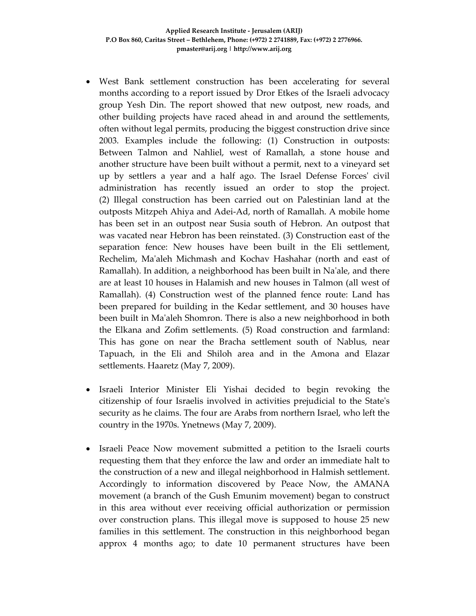- West Bank settlement construction has been accelerating for several months according to a report issued by Dror Etkes of the Israeli advocacy group Yesh Din. The report showed that new outpost, new roads, and other building projects have raced ahead in and around the settlements, often without legal permits, producing the biggest construction drive since 2003. Examples include the following: (1) Construction in outposts: Between Talmon and Nahliel, west of Ramallah, a stone house and another structure have been built without a permit, next to a vineyard set up by settlers a year and a half ago. The Israel Defense Forcesʹ civil administration has recently issued an order to stop the project. (2) Illegal construction has been carried out on Palestinian land at the outposts Mitzpeh Ahiya and Adei‐Ad, north of Ramallah. A mobile home has been set in an outpost near Susia south of Hebron. An outpost that was vacated near Hebron has been reinstated. (3) Construction east of the separation fence: New houses have been built in the Eli settlement, Rechelim, Maʹaleh Michmash and Kochav Hashahar (north and east of Ramallah). In addition, a neighborhood has been built in Naʹale, and there are at least 10 houses in Halamish and new houses in Talmon (all west of Ramallah). (4) Construction west of the planned fence route: Land has been prepared for building in the Kedar settlement, and 30 houses have been built in Maʹaleh Shomron. There is also a new neighborhood in both the Elkana and Zofim settlements. (5) Road construction and farmland: This has gone on near the Bracha settlement south of Nablus, near Tapuach, in the Eli and Shiloh area and in the Amona and Elazar settlements. Haaretz (May 7, 2009).
- Israeli Interior Minister Eli Yishai decided to begin revoking the citizenship of four Israelis involved in activities prejudicial to the Stateʹs security as he claims. The four are Arabs from northern Israel, who left the country in the 1970s. Ynetnews (May 7, 2009).
- Israeli Peace Now movement submitted a petition to the Israeli courts requesting them that they enforce the law and order an immediate halt to the construction of a new and illegal neighborhood in Halmish settlement. Accordingly to information discovered by Peace Now, the AMANA movement (a branch of the Gush Emunim movement) began to construct in this area without ever receiving official authorization or permission over construction plans. This illegal move is supposed to house 25 new families in this settlement. The construction in this neighborhood began approx 4 months ago; to date 10 permanent structures have been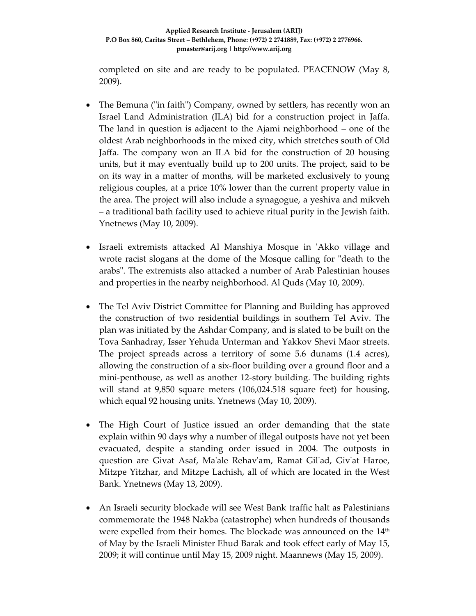completed on site and are ready to be populated. PEACENOW (May 8, 2009).

- The Bemuna ("in faith") Company, owned by settlers, has recently won an Israel Land Administration (ILA) bid for a construction project in Jaffa. The land in question is adjacent to the Ajami neighborhood – one of the oldest Arab neighborhoods in the mixed city, which stretches south of Old Jaffa. The company won an ILA bid for the construction of 20 housing units, but it may eventually build up to 200 units. The project, said to be on its way in a matter of months, will be marketed exclusively to young religious couples, at a price 10% lower than the current property value in the area. The project will also include a synagogue, a yeshiva and mikveh – a traditional bath facility used to achieve ritual purity in the Jewish faith. Ynetnews (May 10, 2009).
- Israeli extremists attacked Al Manshiya Mosque in ʹAkko village and wrote racist slogans at the dome of the Mosque calling for "death to the arabsʺ. The extremists also attacked a number of Arab Palestinian houses and properties in the nearby neighborhood. Al Quds (May 10, 2009).
- The Tel Aviv District Committee for Planning and Building has approved the construction of two residential buildings in southern Tel Aviv. The plan was initiated by the Ashdar Company, and is slated to be built on the Tova Sanhadray, Isser Yehuda Unterman and Yakkov Shevi Maor streets. The project spreads across a territory of some 5.6 dunams (1.4 acres), allowing the construction of a six‐floor building over a ground floor and a mini‐penthouse, as well as another 12‐story building. The building rights will stand at 9,850 square meters (106,024.518 square feet) for housing, which equal 92 housing units. Ynetnews (May 10, 2009).
- The High Court of Justice issued an order demanding that the state explain within 90 days why a number of illegal outposts have not yet been evacuated, despite a standing order issued in 2004. The outposts in question are Givat Asaf, Maʹale Rehavʹam, Ramat Gilʹad, Givʹat Haroe, Mitzpe Yitzhar, and Mitzpe Lachish, all of which are located in the West Bank. Ynetnews (May 13, 2009).
- An Israeli security blockade will see West Bank traffic halt as Palestinians commemorate the 1948 Nakba (catastrophe) when hundreds of thousands were expelled from their homes. The blockade was announced on the  $14<sup>th</sup>$ of May by the Israeli Minister Ehud Barak and took effect early of May 15, 2009; it will continue until May 15, 2009 night. Maannews (May 15, 2009).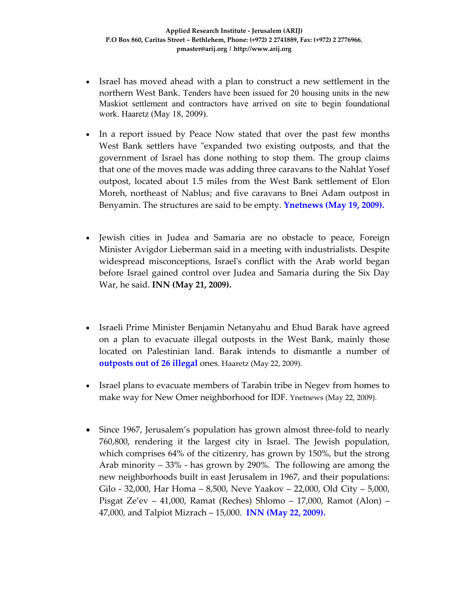- Israel has moved ahead with a plan to construct a new settlement in the northern West Bank. Tenders have been issued for 20 housing units in the new Maskiot settlement and contractors have arrived on site to begin foundational work. Haaretz (May 18, 2009).
- In a report issued by Peace Now stated that over the past few months West Bank settlers have "expanded two existing outposts, and that the government of Israel has done nothing to stop them. The group claims that one of the moves made was adding three caravans to the Nahlat Yosef outpost, located about 1.5 miles from the West Bank settlement of Elon Moreh, northeast of Nablus; and five caravans to Bnei Adam outpost in Benyamin. The structures are said to be empty. **Ynetnews (May 19, 2009).**
- Jewish cities in Judea and Samaria are no obstacle to peace, Foreign Minister Avigdor Lieberman said in a meeting with industrialists. Despite widespread misconceptions, Israel's conflict with the Arab world began before Israel gained control over Judea and Samaria during the Six Day War, he said. **INN (May 21, 2009).**
- Israeli Prime Minister Benjamin Netanyahu and Ehud Barak have agreed on a plan to evacuate illegal outposts in the West Bank, mainly those located on Palestinian land. Barak intends to dismantle a number of **outposts out of 26 illegal** ones. Haaretz (May 22, 2009).
- Israel plans to evacuate members of Tarabin tribe in Negev from homes to make way for New Omer neighborhood for IDF. Ynetnews (May 22, 2009).
- Since 1967, Jerusalem's population has grown almost three-fold to nearly 760,800, rendering it the largest city in Israel. The Jewish population, which comprises 64% of the citizenry, has grown by 150%, but the strong Arab minority – 33% ‐ has grown by 290%. The following are among the new neighborhoods built in east Jerusalem in 1967, and their populations: Gilo ‐ 32,000, Har Homa – 8,500, Neve Yaakov – 22,000, Old City – 5,000, Pisgat Ze'ev – 41,000, Ramat (Reches) Shlomo – 17,000, Ramot (Alon) – 47,000, and Talpiot Mizrach – 15,000. **INN (May 22, 2009).**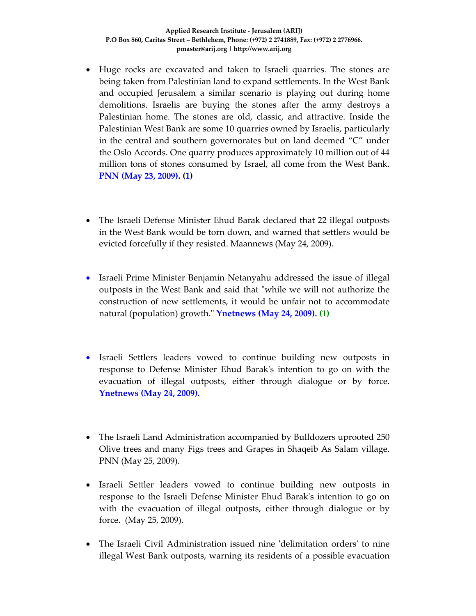- Huge rocks are excavated and taken to Israeli quarries. The stones are being taken from Palestinian land to expand settlements. In the West Bank and occupied Jerusalem a similar scenario is playing out during home demolitions. Israelis are buying the stones after the army destroys a Palestinian home. The stones are old, classic, and attractive. Inside the Palestinian West Bank are some 10 quarries owned by Israelis, particularly in the central and southern governorates but on land deemed "C" under the Oslo Accords. One quarry produces approximately 10 million out of 44 million tons of stones consumed by Israel, all come from the West Bank. **PNN (May 23, 2009). (1)**
- The Israeli Defense Minister Ehud Barak declared that 22 illegal outposts in the West Bank would be torn down, and warned that settlers would be evicted forcefully if they resisted. Maannews (May 24, 2009).
- Israeli Prime Minister Benjamin Netanyahu addressed the issue of illegal outposts in the West Bank and said that "while we will not authorize the construction of new settlements, it would be unfair not to accommodate natural (population) growth.ʺ **Ynetnews (May 24, 2009). (1)**
- Israeli Settlers leaders vowed to continue building new outposts in response to Defense Minister Ehud Barakʹs intention to go on with the evacuation of illegal outposts, either through dialogue or by force. **Ynetnews (May 24, 2009).**
- The Israeli Land Administration accompanied by Bulldozers uprooted 250 Olive trees and many Figs trees and Grapes in Shaqeib As Salam village. PNN (May 25, 2009).
- Israeli Settler leaders vowed to continue building new outposts in response to the Israeli Defense Minister Ehud Barakʹs intention to go on with the evacuation of illegal outposts, either through dialogue or by force. (May 25, 2009).
- The Israeli Civil Administration issued nine 'delimitation orders' to nine illegal West Bank outposts, warning its residents of a possible evacuation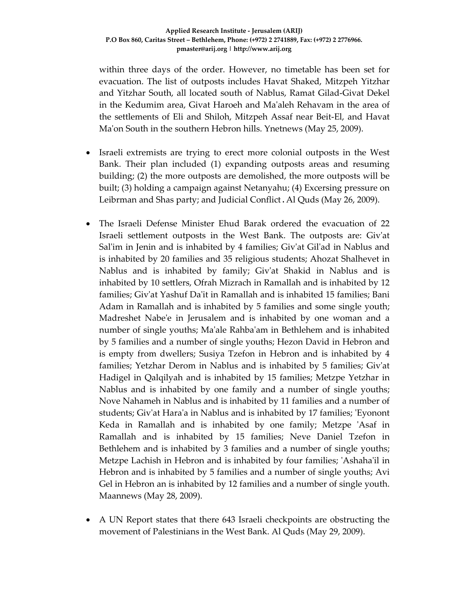within three days of the order. However, no timetable has been set for evacuation. The list of outposts includes Havat Shaked, Mitzpeh Yitzhar and Yitzhar South, all located south of Nablus, Ramat Gilad‐Givat Dekel in the Kedumim area, Givat Haroeh and Maʹaleh Rehavam in the area of the settlements of Eli and Shiloh, Mitzpeh Assaf near Beit‐El, and Havat Ma'on South in the southern Hebron hills. Ynetnews (May 25, 2009).

- Israeli extremists are trying to erect more colonial outposts in the West Bank. Their plan included (1) expanding outposts areas and resuming building; (2) the more outposts are demolished, the more outposts will be built; (3) holding a campaign against Netanyahu; (4) Excersing pressure on Leibrman and Shas party; and Judicial Conflict.Al Quds (May 26, 2009).
- The Israeli Defense Minister Ehud Barak ordered the evacuation of 22 Israeli settlement outposts in the West Bank. The outposts are: Givʹat Sal'im in Jenin and is inhabited by 4 families; Giv'at Gil'ad in Nablus and is inhabited by 20 families and 35 religious students; Ahozat Shalhevet in Nablus and is inhabited by family; Givʹat Shakid in Nablus and is inhabited by 10 settlers, Ofrah Mizrach in Ramallah and is inhabited by 12 families; Givʹat Yashuf Daʹit in Ramallah and is inhabited 15 families; Bani Adam in Ramallah and is inhabited by 5 families and some single youth; Madreshet Nabeʹe in Jerusalem and is inhabited by one woman and a number of single youths; Maʹale Rahbaʹam in Bethlehem and is inhabited by 5 families and a number of single youths; Hezon David in Hebron and is empty from dwellers; Susiya Tzefon in Hebron and is inhabited by 4 families; Yetzhar Derom in Nablus and is inhabited by 5 families; Givʹat Hadigel in Qalqilyah and is inhabited by 15 families; Metzpe Yetzhar in Nablus and is inhabited by one family and a number of single youths; Nove Nahameh in Nablus and is inhabited by 11 families and a number of students; Givʹat Haraʹa in Nablus and is inhabited by 17 families; ʹEyonont Keda in Ramallah and is inhabited by one family; Metzpe 'Asaf in Ramallah and is inhabited by 15 families; Neve Daniel Tzefon in Bethlehem and is inhabited by 3 families and a number of single youths; Metzpe Lachish in Hebron and is inhabited by four families; ʹAshahaʹil in Hebron and is inhabited by 5 families and a number of single youths; Avi Gel in Hebron an is inhabited by 12 families and a number of single youth. Maannews (May 28, 2009).
- A UN Report states that there 643 Israeli checkpoints are obstructing the movement of Palestinians in the West Bank. Al Quds (May 29, 2009).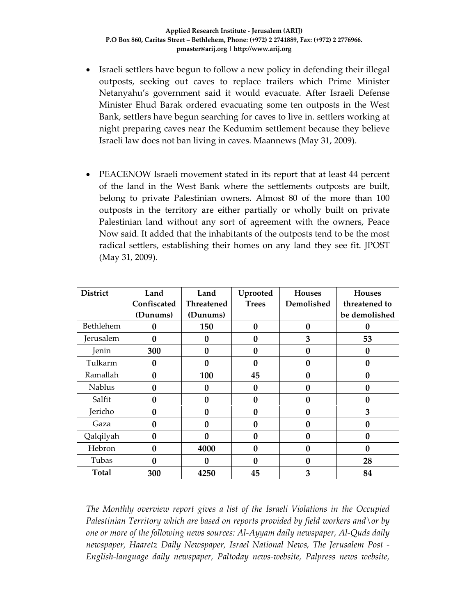- Israeli settlers have begun to follow a new policy in defending their illegal outposts, seeking out caves to replace trailers which Prime Minister Netanyahu's government said it would evacuate. After Israeli Defense Minister Ehud Barak ordered evacuating some ten outposts in the West Bank, settlers have begun searching for caves to live in. settlers working at night preparing caves near the Kedumim settlement because they believe Israeli law does not ban living in caves. Maannews (May 31, 2009).
- PEACENOW Israeli movement stated in its report that at least 44 percent of the land in the West Bank where the settlements outposts are built, belong to private Palestinian owners. Almost 80 of the more than 100 outposts in the territory are either partially or wholly built on private Palestinian land without any sort of agreement with the owners, Peace Now said. It added that the inhabitants of the outposts tend to be the most radical settlers, establishing their homes on any land they see fit. JPOST (May 31, 2009).

| <b>District</b> | Land         | Land              | Uprooted     | <b>Houses</b>    | <b>Houses</b> |
|-----------------|--------------|-------------------|--------------|------------------|---------------|
|                 | Confiscated  | <b>Threatened</b> | <b>Trees</b> | Demolished       | threatened to |
|                 | (Dunums)     | (Dunums)          |              |                  | be demolished |
| Bethlehem       | 0            | 150               | 0            | $\boldsymbol{0}$ | 0             |
| Jerusalem       | 0            | 0                 | $\bf{0}$     | 3                | 53            |
| Jenin           | 300          | 0                 | 0            | $\mathbf{0}$     | 0             |
| Tulkarm         | 0            | 0                 | 0            | $\mathbf{0}$     | 0             |
| Ramallah        | $\mathbf{0}$ | 100               | 45           | $\mathbf{0}$     | 0             |
| <b>Nablus</b>   | 0            | 0                 | 0            | $\boldsymbol{0}$ | 0             |
| Salfit          | 0            | 0                 | 0            | $\mathbf{0}$     | 0             |
| Jericho         | 0            | 0                 | 0            | $\mathbf{0}$     | 3             |
| Gaza            | 0            | 0                 | 0            | $\mathbf{0}$     | 0             |
| Qalqilyah       | $\mathbf{0}$ | 0                 | 0            | $\mathbf{0}$     | 0             |
| Hebron          | 0            | 4000              | 0            | $\mathbf{0}$     | 0             |
| Tubas           | 0            | 0                 | 0            | $\mathbf{0}$     | 28            |
| <b>Total</b>    | 300          | 4250              | 45           | 3                | 84            |

*The Monthly overview report gives a list of the Israeli Violations in the Occupied Palestinian Territory which are based on reports provided by field workers and\or by one or more of the following news sources: Al‐Ayyam daily newspaper, Al‐Quds daily newspaper, Haaretz Daily Newspaper, Israel National News, The Jerusalem Post ‐ English‐language daily newspaper, Paltoday news‐website, Palpress news website,*